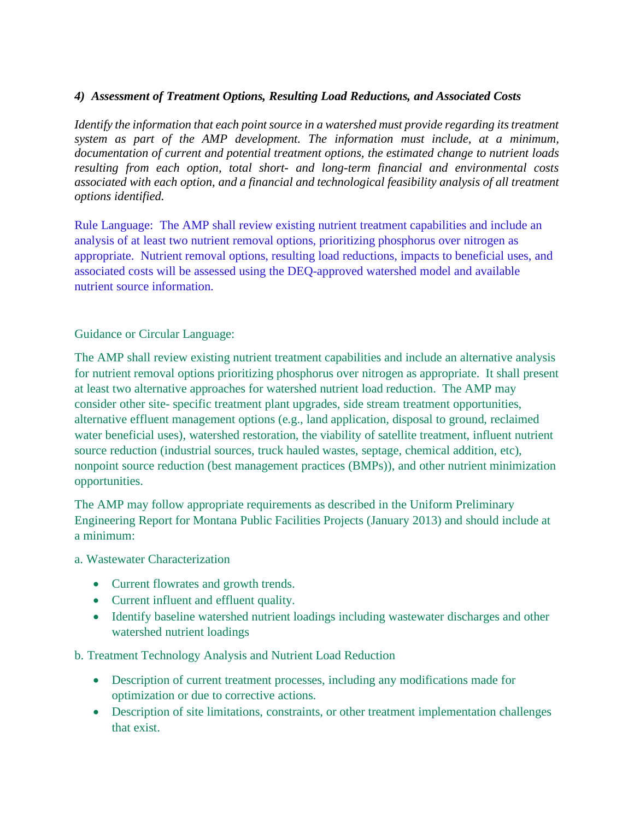## *4) Assessment of Treatment Options, Resulting Load Reductions, and Associated Costs*

*Identify the information that each point source in a watershed must provide regarding its treatment system as part of the AMP development. The information must include, at a minimum, documentation of current and potential treatment options, the estimated change to nutrient loads resulting from each option, total short- and long-term financial and environmental costs associated with each option, and a financial and technological feasibility analysis of all treatment options identified.*

Rule Language: The AMP shall review existing nutrient treatment capabilities and include an analysis of at least two nutrient removal options, prioritizing phosphorus over nitrogen as appropriate. Nutrient removal options, resulting load reductions, impacts to beneficial uses, and associated costs will be assessed using the DEQ-approved watershed model and available nutrient source information.

Guidance or Circular Language:

The AMP shall review existing nutrient treatment capabilities and include an alternative analysis for nutrient removal options prioritizing phosphorus over nitrogen as appropriate. It shall present at least two alternative approaches for watershed nutrient load reduction. The AMP may consider other site- specific treatment plant upgrades, side stream treatment opportunities, alternative effluent management options (e.g., land application, disposal to ground, reclaimed water beneficial uses), watershed restoration, the viability of satellite treatment, influent nutrient source reduction (industrial sources, truck hauled wastes, septage, chemical addition, etc), nonpoint source reduction (best management practices (BMPs)), and other nutrient minimization opportunities.

The AMP may follow appropriate requirements as described in the Uniform Preliminary Engineering Report for Montana Public Facilities Projects (January 2013) and should include at a minimum:

- a. Wastewater Characterization
	- Current flowrates and growth trends.
	- Current influent and effluent quality.
	- Identify baseline watershed nutrient loadings including wastewater discharges and other watershed nutrient loadings

b. Treatment Technology Analysis and Nutrient Load Reduction

- Description of current treatment processes, including any modifications made for optimization or due to corrective actions.
- Description of site limitations, constraints, or other treatment implementation challenges that exist.